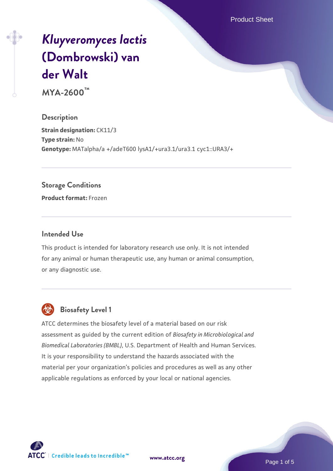Product Sheet

# *[Kluyveromyces lactis](https://www.atcc.org/products/mya-2600)* **[\(Dombrowski\) van](https://www.atcc.org/products/mya-2600) [der Walt](https://www.atcc.org/products/mya-2600)**

**MYA-2600™**

**Description Strain designation: CK11/3 Type strain:** No **Genotype:** MATalpha/a +/adeT600 lysA1/+ura3.1/ura3.1 cyc1::URA3/+

#### **Storage Conditions**

**Product format:** Frozen

#### **Intended Use**

This product is intended for laboratory research use only. It is not intended for any animal or human therapeutic use, any human or animal consumption, or any diagnostic use.



# **Biosafety Level 1**

ATCC determines the biosafety level of a material based on our risk assessment as guided by the current edition of *Biosafety in Microbiological and Biomedical Laboratories (BMBL)*, U.S. Department of Health and Human Services. It is your responsibility to understand the hazards associated with the material per your organization's policies and procedures as well as any other applicable regulations as enforced by your local or national agencies.



**[www.atcc.org](http://www.atcc.org)**

Page 1 of 5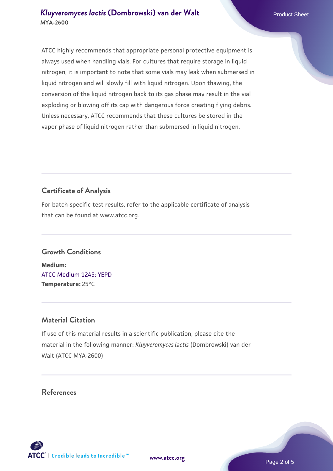ATCC highly recommends that appropriate personal protective equipment is always used when handling vials. For cultures that require storage in liquid nitrogen, it is important to note that some vials may leak when submersed in liquid nitrogen and will slowly fill with liquid nitrogen. Upon thawing, the conversion of the liquid nitrogen back to its gas phase may result in the vial exploding or blowing off its cap with dangerous force creating flying debris. Unless necessary, ATCC recommends that these cultures be stored in the vapor phase of liquid nitrogen rather than submersed in liquid nitrogen.

# **Certificate of Analysis**

For batch-specific test results, refer to the applicable certificate of analysis that can be found at www.atcc.org.

# **Growth Conditions**

**Medium:**  [ATCC Medium 1245: YEPD](https://www.atcc.org/-/media/product-assets/documents/microbial-media-formulations/1/2/4/5/atcc-medium-1245.pdf?rev=705ca55d1b6f490a808a965d5c072196) **Temperature:** 25°C

# **Material Citation**

If use of this material results in a scientific publication, please cite the material in the following manner: *Kluyveromyces lactis* (Dombrowski) van der Walt (ATCC MYA-2600)

# **References**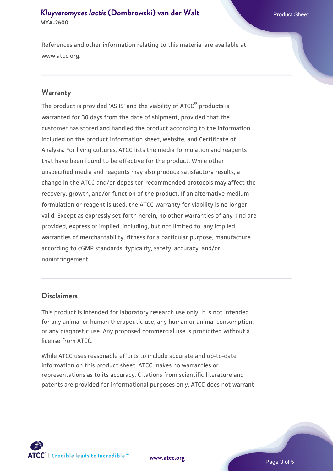#### *[Kluyveromyces lactis](https://www.atcc.org/products/mya-2600)* **[\(Dombrowski\) van der Walt](https://www.atcc.org/products/mya-2600)** Product Sheet **MYA-2600**

References and other information relating to this material are available at www.atcc.org.

#### **Warranty**

The product is provided 'AS IS' and the viability of ATCC® products is warranted for 30 days from the date of shipment, provided that the customer has stored and handled the product according to the information included on the product information sheet, website, and Certificate of Analysis. For living cultures, ATCC lists the media formulation and reagents that have been found to be effective for the product. While other unspecified media and reagents may also produce satisfactory results, a change in the ATCC and/or depositor-recommended protocols may affect the recovery, growth, and/or function of the product. If an alternative medium formulation or reagent is used, the ATCC warranty for viability is no longer valid. Except as expressly set forth herein, no other warranties of any kind are provided, express or implied, including, but not limited to, any implied warranties of merchantability, fitness for a particular purpose, manufacture according to cGMP standards, typicality, safety, accuracy, and/or noninfringement.

#### **Disclaimers**

This product is intended for laboratory research use only. It is not intended for any animal or human therapeutic use, any human or animal consumption, or any diagnostic use. Any proposed commercial use is prohibited without a license from ATCC.

While ATCC uses reasonable efforts to include accurate and up-to-date information on this product sheet, ATCC makes no warranties or representations as to its accuracy. Citations from scientific literature and patents are provided for informational purposes only. ATCC does not warrant



**[www.atcc.org](http://www.atcc.org)**

Page 3 of 5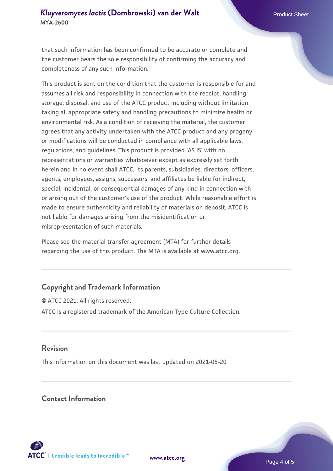### *[Kluyveromyces lactis](https://www.atcc.org/products/mya-2600)* **[\(Dombrowski\) van der Walt](https://www.atcc.org/products/mya-2600)** Product Sheet **MYA-2600**

that such information has been confirmed to be accurate or complete and the customer bears the sole responsibility of confirming the accuracy and completeness of any such information.

This product is sent on the condition that the customer is responsible for and assumes all risk and responsibility in connection with the receipt, handling, storage, disposal, and use of the ATCC product including without limitation taking all appropriate safety and handling precautions to minimize health or environmental risk. As a condition of receiving the material, the customer agrees that any activity undertaken with the ATCC product and any progeny or modifications will be conducted in compliance with all applicable laws, regulations, and guidelines. This product is provided 'AS IS' with no representations or warranties whatsoever except as expressly set forth herein and in no event shall ATCC, its parents, subsidiaries, directors, officers, agents, employees, assigns, successors, and affiliates be liable for indirect, special, incidental, or consequential damages of any kind in connection with or arising out of the customer's use of the product. While reasonable effort is made to ensure authenticity and reliability of materials on deposit, ATCC is not liable for damages arising from the misidentification or misrepresentation of such materials.

Please see the material transfer agreement (MTA) for further details regarding the use of this product. The MTA is available at www.atcc.org.

# **Copyright and Trademark Information**

© ATCC 2021. All rights reserved. ATCC is a registered trademark of the American Type Culture Collection.

#### **Revision**

This information on this document was last updated on 2021-05-20

#### **Contact Information**



**[www.atcc.org](http://www.atcc.org)**

Page 4 of 5